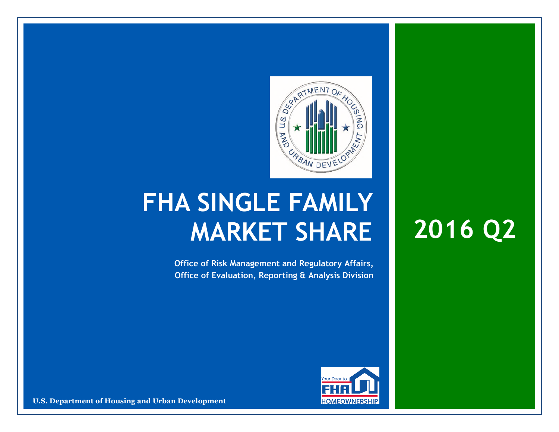

## **FHA SINGLE FAMILY MARKET SHARE 2016 Q2**

**Office of Risk Management and Regulatory Affairs, Office of Evaluation, Reporting & Analysis Division** 



**U.S. Department of Housing and Urban Development**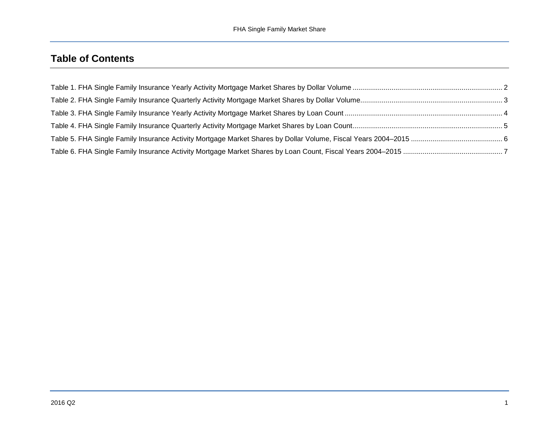## **Table of Contents**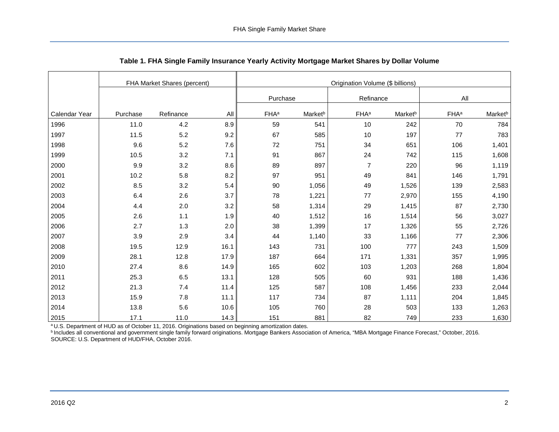<span id="page-2-0"></span>

|               | FHA Market Shares (percent) |           |      | Origination Volume (\$ billions) |                     |                         |                     |                         |                     |  |
|---------------|-----------------------------|-----------|------|----------------------------------|---------------------|-------------------------|---------------------|-------------------------|---------------------|--|
|               |                             |           |      | Purchase                         |                     | Refinance               |                     | All                     |                     |  |
| Calendar Year | Purchase                    | Refinance | All  | <b>FHA</b> <sup>a</sup>          | Market <sup>b</sup> | <b>FHA</b> <sup>a</sup> | Market <sup>b</sup> | <b>FHA</b> <sup>a</sup> | Market <sup>b</sup> |  |
| 1996          | 11.0                        | 4.2       | 8.9  | 59                               | 541                 | 10                      | 242                 | 70                      | 784                 |  |
| 1997          | 11.5                        | $5.2\,$   | 9.2  | 67                               | 585                 | 10                      | 197                 | 77                      | 783                 |  |
| 1998          | 9.6                         | 5.2       | 7.6  | 72                               | 751                 | 34                      | 651                 | 106                     | 1,401               |  |
| 1999          | 10.5                        | 3.2       | 7.1  | 91                               | 867                 | 24                      | 742                 | 115                     | 1,608               |  |
| 2000          | 9.9                         | 3.2       | 8.6  | 89                               | 897                 | $\overline{7}$          | 220                 | 96                      | 1,119               |  |
| 2001          | 10.2                        | 5.8       | 8.2  | 97                               | 951                 | 49                      | 841                 | 146                     | 1,791               |  |
| 2002          | 8.5                         | 3.2       | 5.4  | 90                               | 1,056               | 49                      | 1,526               | 139                     | 2,583               |  |
| 2003          | 6.4                         | 2.6       | 3.7  | 78                               | 1,221               | 77                      | 2,970               | 155                     | 4,190               |  |
| 2004          | 4.4                         | 2.0       | 3.2  | 58                               | 1,314               | 29                      | 1,415               | 87                      | 2,730               |  |
| 2005          | 2.6                         | 1.1       | 1.9  | 40                               | 1,512               | 16                      | 1,514               | 56                      | 3,027               |  |
| 2006          | 2.7                         | 1.3       | 2.0  | 38                               | 1,399               | 17                      | 1,326               | 55                      | 2,726               |  |
| 2007          | 3.9                         | 2.9       | 3.4  | 44                               | 1,140               | 33                      | 1,166               | 77                      | 2,306               |  |
| 2008          | 19.5                        | 12.9      | 16.1 | 143                              | 731                 | 100                     | 777                 | 243                     | 1,509               |  |
| 2009          | 28.1                        | 12.8      | 17.9 | 187                              | 664                 | 171                     | 1,331               | 357                     | 1,995               |  |
| 2010          | 27.4                        | $8.6\,$   | 14.9 | 165                              | 602                 | 103                     | 1,203               | 268                     | 1,804               |  |
| 2011          | 25.3                        | $6.5\,$   | 13.1 | 128                              | 505                 | 60                      | 931                 | 188                     | 1,436               |  |
| 2012          | 21.3                        | 7.4       | 11.4 | 125                              | 587                 | 108                     | 1,456               | 233                     | 2,044               |  |
| 2013          | 15.9                        | 7.8       | 11.1 | 117                              | 734                 | 87                      | 1,111               | 204                     | 1,845               |  |
| 2014          | 13.8                        | 5.6       | 10.6 | 105                              | 760                 | 28                      | 503                 | 133                     | 1,263               |  |
| 2015          | 17.1                        | 11.0      | 14.3 | 151                              | 881                 | 82                      | 749                 | 233                     | 1,630               |  |

<span id="page-2-1"></span>

<sup>b</sup> Includes all conventional and government single family forward originations. Mortgage Bankers Association of America, "MBA Mortgage Finance Forecast," October, 2016. SOURCE: U.S. Department of HUD/FHA, October 2016.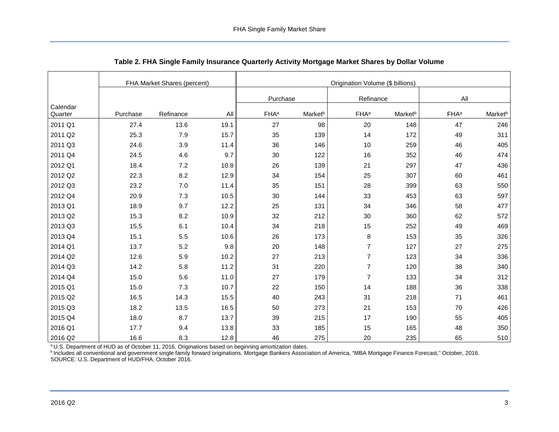<span id="page-3-0"></span>

|                     |          | FHA Market Shares (percent) |      |                         |                     | Origination Volume (\$ billions) |                     |                         |                     |
|---------------------|----------|-----------------------------|------|-------------------------|---------------------|----------------------------------|---------------------|-------------------------|---------------------|
|                     |          |                             |      | Purchase                |                     | Refinance                        |                     | All                     |                     |
| Calendar<br>Quarter | Purchase | Refinance                   | All  | <b>FHA</b> <sup>a</sup> | Market <sup>b</sup> | <b>FHA</b> <sup>a</sup>          | Market <sup>b</sup> | <b>FHA</b> <sup>a</sup> | Market <sup>b</sup> |
| 2011 Q1             | 27.4     | 13.6                        | 19.1 | 27                      | 98                  | 20                               | 148                 | 47                      | 246                 |
| 2011 Q2             | 25.3     | 7.9                         | 15.7 | 35                      | 139                 | 14                               | 172                 | 49                      | 311                 |
| 2011 Q3             | 24.6     | 3.9                         | 11.4 | 36                      | 146                 | 10                               | 259                 | 46                      | 405                 |
| 2011 Q4             | 24.5     | 4.6                         | 9.7  | 30                      | 122                 | 16                               | 352                 | 46                      | 474                 |
| 2012 Q1             | 18.4     | 7.2                         | 10.8 | 26                      | 139                 | 21                               | 297                 | 47                      | 436                 |
| 2012 Q2             | 22.3     | 8.2                         | 12.9 | 34                      | 154                 | 25                               | 307                 | 60                      | 461                 |
| 2012 Q3             | 23.2     | $7.0\,$                     | 11.4 | 35                      | 151                 | 28                               | 399                 | 63                      | 550                 |
| 2012 Q4             | 20.9     | 7.3                         | 10.5 | 30                      | 144                 | 33                               | 453                 | 63                      | 597                 |
| 2013 Q1             | 18.9     | 9.7                         | 12.2 | 25                      | 131                 | 34                               | 346                 | 58                      | 477                 |
| 2013 Q2             | 15.3     | 8.2                         | 10.9 | 32                      | 212                 | 30                               | 360                 | 62                      | 572                 |
| 2013 Q3             | 15.5     | 6.1                         | 10.4 | 34                      | 218                 | 15                               | 252                 | 49                      | 469                 |
| 2013 Q4             | 15.1     | 5.5                         | 10.6 | 26                      | 173                 | $\bf 8$                          | 153                 | 35                      | 326                 |
| 2014 Q1             | 13.7     | $5.2\,$                     | 9.8  | 20                      | 148                 | $\overline{7}$                   | 127                 | 27                      | 275                 |
| 2014 Q2             | 12.6     | 5.9                         | 10.2 | 27                      | 213                 | $\overline{7}$                   | 123                 | 34                      | 336                 |
| 2014 Q3             | 14.2     | 5.8                         | 11.2 | 31                      | 220                 | $\overline{7}$                   | 120                 | 38                      | 340                 |
| 2014 Q4             | 15.0     | 5.6                         | 11.0 | 27                      | 179                 | $\overline{7}$                   | 133                 | 34                      | 312                 |
| 2015 Q1             | 15.0     | 7.3                         | 10.7 | 22                      | 150                 | 14                               | 188                 | 36                      | 338                 |
| 2015 Q2             | 16.5     | 14.3                        | 15.5 | 40                      | 243                 | 31                               | 218                 | 71                      | 461                 |
| 2015 Q3             | 18.2     | 13.5                        | 16.5 | 50                      | 273                 | 21                               | 153                 | 70                      | 426                 |
| 2015 Q4             | 18.0     | 8.7                         | 13.7 | 39                      | 215                 | 17                               | 190                 | 55                      | 405                 |
| 2016 Q1             | 17.7     | 9.4                         | 13.8 | 33                      | 185                 | 15                               | 165                 | 48                      | 350                 |
| 2016 Q2             | 16.6     | 8.3                         | 12.8 | 46                      | 275                 | 20                               | 235                 | 65                      | 510                 |

<span id="page-3-1"></span>**Table 2. FHA Single Family Insurance Quarterly Activity Mortgage Market Shares by Dollar Volume**

<sup>b</sup> Includes all conventional and government single family forward originations. Mortgage Bankers Association of America, "MBA Mortgage Finance Forecast," October, 2016. SOURCE: U.S. Department of HUD/FHA, October 2016.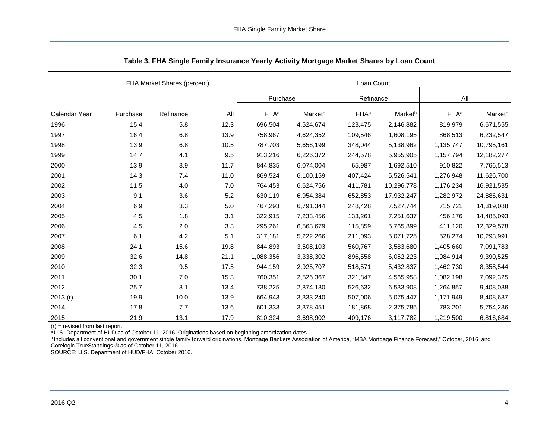<span id="page-4-0"></span>

|               |          | FHA Market Shares (percent) |         |                         |                     | Loan Count              |                     |                         |                     |
|---------------|----------|-----------------------------|---------|-------------------------|---------------------|-------------------------|---------------------|-------------------------|---------------------|
|               |          |                             |         | Purchase                |                     | Refinance               |                     | All                     |                     |
|               |          |                             |         |                         |                     |                         |                     |                         |                     |
| Calendar Year | Purchase | Refinance                   | All     | <b>FHA</b> <sup>a</sup> | Market <sup>b</sup> | <b>FHA</b> <sup>a</sup> | Market <sup>b</sup> | <b>FHA</b> <sup>a</sup> | Market <sup>b</sup> |
| 1996          | 15.4     | 5.8                         | 12.3    | 696,504                 | 4,524,674           | 123,475                 | 2,146,882           | 819,979                 | 6,671,555           |
| 1997          | 16.4     | 6.8                         | 13.9    | 758,967                 | 4,624,352           | 109,546                 | 1,608,195           | 868,513                 | 6,232,547           |
| 1998          | 13.9     | 6.8                         | 10.5    | 787,703                 | 5,656,199           | 348,044                 | 5,138,962           | 1,135,747               | 10,795,161          |
| 1999          | 14.7     | 4.1                         | 9.5     | 913,216                 | 6,226,372           | 244,578                 | 5,955,905           | 1,157,794               | 12,182,277          |
| 2000          | 13.9     | 3.9                         | 11.7    | 844,835                 | 6,074,004           | 65,987                  | 1,692,510           | 910,822                 | 7,766,513           |
| 2001          | 14.3     | 7.4                         | 11.0    | 869,524                 | 6,100,159           | 407,424                 | 5,526,541           | 1,276,948               | 11,626,700          |
| 2002          | 11.5     | 4.0                         | 7.0     | 764,453                 | 6,624,756           | 411,781                 | 10,296,778          | 1,176,234               | 16,921,535          |
| 2003          | 9.1      | 3.6                         | $5.2\,$ | 630,119                 | 6,954,384           | 652,853                 | 17,932,247          | 1,282,972               | 24,886,631          |
| 2004          | 6.9      | 3.3                         | 5.0     | 467,293                 | 6,791,344           | 248,428                 | 7,527,744           | 715,721                 | 14,319,088          |
| 2005          | 4.5      | 1.8                         | 3.1     | 322,915                 | 7,233,456           | 133,261                 | 7,251,637           | 456,176                 | 14,485,093          |
| 2006          | 4.5      | 2.0                         | 3.3     | 295,261                 | 6,563,679           | 115,859                 | 5,765,899           | 411,120                 | 12,329,578          |
| 2007          | 6.1      | 4.2                         | 5.1     | 317,181                 | 5,222,266           | 211,093                 | 5,071,725           | 528,274                 | 10,293,991          |
| 2008          | 24.1     | 15.6                        | 19.8    | 844,893                 | 3,508,103           | 560,767                 | 3,583,680           | 1,405,660               | 7,091,783           |
| 2009          | 32.6     | 14.8                        | 21.1    | 1,088,356               | 3,338,302           | 896,558                 | 6,052,223           | 1,984,914               | 9,390,525           |
| 2010          | 32.3     | 9.5                         | 17.5    | 944,159                 | 2,925,707           | 518,571                 | 5,432,837           | 1,462,730               | 8,358,544           |
| 2011          | 30.1     | $7.0\,$                     | 15.3    | 760,351                 | 2,526,367           | 321,847                 | 4,565,958           | 1,082,198               | 7,092,325           |
| 2012          | 25.7     | 8.1                         | 13.4    | 738,225                 | 2,874,180           | 526,632                 | 6,533,908           | 1,264,857               | 9,408,088           |
| 2013(r)       | 19.9     | 10.0                        | 13.9    | 664,943                 | 3,333,240           | 507,006                 | 5,075,447           | 1,171,949               | 8,408,687           |
| 2014          | 17.8     | 7.7                         | 13.6    | 601,333                 | 3,378,451           | 181,868                 | 2,375,785           | 783,201                 | 5,754,236           |
| 2015          | 21.9     | 13.1                        | 17.9    | 810,324                 | 3,698,902           | 409,176                 | 3,117,782           | 1,219,500               | 6,816,684           |

<span id="page-4-1"></span>**Table 3. FHA Single Family Insurance Yearly Activity Mortgage Market Shares by Loan Count**

 $(r)$  = revised from last report.

<sup>a</sup>U.S. Department of HUD as of October 11, 2016. Originations based on beginning amortization dates.

bIncludes all conventional and government single family forward originations. Mortgage Bankers Association of America, "MBA Mortgage Finance Forecast," October, 2016, and Corelogic TrueStandings ® as of October 11, 2016.

SOURCE: U.S. Department of HUD/FHA, October 2016.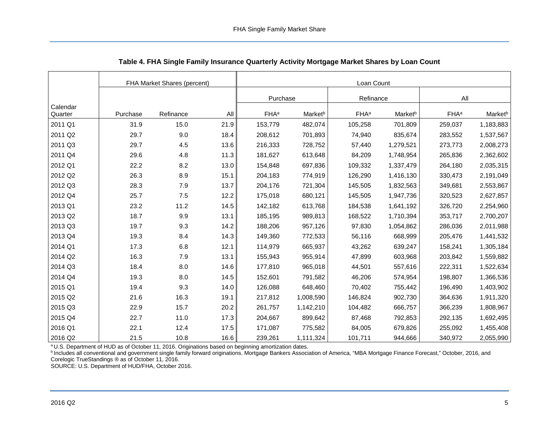<span id="page-5-0"></span>

|                     | FHA Market Shares (percent) |           |      | Loan Count              |                     |                         |                     |                         |                     |  |
|---------------------|-----------------------------|-----------|------|-------------------------|---------------------|-------------------------|---------------------|-------------------------|---------------------|--|
|                     |                             |           |      | Purchase                |                     | Refinance               |                     | All                     |                     |  |
| Calendar<br>Quarter | Purchase                    | Refinance | All  | <b>FHA</b> <sup>a</sup> | Market <sup>b</sup> | <b>FHA</b> <sup>a</sup> | Market <sup>b</sup> | <b>FHA</b> <sup>a</sup> | Market <sup>b</sup> |  |
| 2011 Q1             | 31.9                        | 15.0      | 21.9 | 153,779                 | 482,074             | 105,258                 | 701,809             | 259,037                 | 1,183,883           |  |
| 2011 Q2             | 29.7                        | 9.0       | 18.4 | 208,612                 | 701,893             | 74,940                  | 835,674             | 283,552                 | 1,537,567           |  |
| 2011 Q3             | 29.7                        | 4.5       | 13.6 | 216,333                 | 728,752             | 57,440                  | 1,279,521           | 273,773                 | 2,008,273           |  |
| 2011 Q4             | 29.6                        | 4.8       | 11.3 | 181,627                 | 613,648             | 84,209                  | 1,748,954           | 265,836                 | 2,362,602           |  |
| 2012 Q1             | 22.2                        | 8.2       | 13.0 | 154,848                 | 697,836             | 109,332                 | 1,337,479           | 264,180                 | 2,035,315           |  |
| 2012 Q2             | 26.3                        | 8.9       | 15.1 | 204,183                 | 774,919             | 126,290                 | 1,416,130           | 330,473                 | 2,191,049           |  |
| 2012 Q3             | 28.3                        | 7.9       | 13.7 | 204,176                 | 721,304             | 145,505                 | 1,832,563           | 349,681                 | 2,553,867           |  |
| 2012 Q4             | 25.7                        | 7.5       | 12.2 | 175,018                 | 680,121             | 145,505                 | 1,947,736           | 320,523                 | 2,627,857           |  |
| 2013 Q1             | 23.2                        | 11.2      | 14.5 | 142,182                 | 613,768             | 184,538                 | 1,641,192           | 326,720                 | 2,254,960           |  |
| 2013 Q2             | 18.7                        | 9.9       | 13.1 | 185,195                 | 989,813             | 168,522                 | 1,710,394           | 353,717                 | 2,700,207           |  |
| 2013 Q3             | 19.7                        | 9.3       | 14.2 | 188,206                 | 957,126             | 97,830                  | 1,054,862           | 286,036                 | 2,011,988           |  |
| 2013 Q4             | 19.3                        | 8.4       | 14.3 | 149,360                 | 772,533             | 56,116                  | 668,999             | 205,476                 | 1,441,532           |  |
| 2014 Q1             | 17.3                        | 6.8       | 12.1 | 114,979                 | 665,937             | 43,262                  | 639,247             | 158,241                 | 1,305,184           |  |
| 2014 Q <sub>2</sub> | 16.3                        | 7.9       | 13.1 | 155,943                 | 955,914             | 47,899                  | 603,968             | 203,842                 | 1,559,882           |  |
| 2014 Q3             | 18.4                        | 8.0       | 14.6 | 177,810                 | 965,018             | 44,501                  | 557,616             | 222,311                 | 1,522,634           |  |
| 2014 Q4             | 19.3                        | 8.0       | 14.5 | 152,601                 | 791,582             | 46,206                  | 574,954             | 198,807                 | 1,366,536           |  |
| 2015 Q1             | 19.4                        | 9.3       | 14.0 | 126,088                 | 648,460             | 70,402                  | 755,442             | 196,490                 | 1,403,902           |  |
| 2015 Q2             | 21.6                        | 16.3      | 19.1 | 217,812                 | 1,008,590           | 146,824                 | 902,730             | 364,636                 | 1,911,320           |  |
| 2015 Q3             | 22.9                        | 15.7      | 20.2 | 261,757                 | 1,142,210           | 104,482                 | 666,757             | 366,239                 | 1,808,967           |  |
| 2015 Q4             | 22.7                        | 11.0      | 17.3 | 204,667                 | 899,642             | 87,468                  | 792,853             | 292,135                 | 1,692,495           |  |
| 2016 Q1             | 22.1                        | 12.4      | 17.5 | 171,087                 | 775,582             | 84,005                  | 679,826             | 255,092                 | 1,455,408           |  |
| 2016 Q2             | 21.5                        | 10.8      | 16.6 | 239,261                 | 1,111,324           | 101,711                 | 944,666             | 340,972                 | 2,055,990           |  |

<span id="page-5-1"></span>

| Table 4. FHA Single Family Insurance Quarterly Activity Mortgage Market Shares by Loan Count |  |  |
|----------------------------------------------------------------------------------------------|--|--|
|                                                                                              |  |  |

bIncludes all conventional and government single family forward originations. Mortgage Bankers Association of America, "MBA Mortgage Finance Forecast," October, 2016, and Corelogic TrueStandings ® as of October 11, 2016.

SOURCE: U.S. Department of HUD/FHA, October 2016.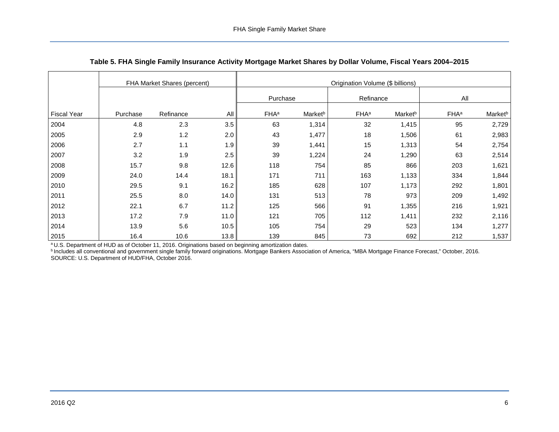<span id="page-6-0"></span>

|                    | FHA Market Shares (percent) |           |        | Origination Volume (\$ billions) |                     |                  |                     |                         |                     |  |  |
|--------------------|-----------------------------|-----------|--------|----------------------------------|---------------------|------------------|---------------------|-------------------------|---------------------|--|--|
|                    |                             |           |        | Purchase                         |                     | Refinance        |                     | All                     |                     |  |  |
| <b>Fiscal Year</b> | Purchase                    | Refinance | All    | <b>FHA</b> <sup>a</sup>          | Market <sup>b</sup> | FHA <sup>a</sup> | Market <sup>b</sup> | <b>FHA</b> <sup>a</sup> | Market <sup>b</sup> |  |  |
| 2004               | 4.8                         | 2.3       | 3.5    | 63                               | 1,314               | 32               | 1,415               | 95                      | 2,729               |  |  |
| 2005               | 2.9                         | 1.2       | 2.0    | 43                               | 1,477               | 18               | 1,506               | 61                      | 2,983               |  |  |
| 2006               | 2.7                         | 1.1       | 1.9    | 39                               | 1,441               | 15               | 1,313               | 54                      | 2,754               |  |  |
| 2007               | 3.2                         | 1.9       | 2.5    | 39                               | 1,224               | 24               | 1,290               | 63                      | 2,514               |  |  |
| 2008               | 15.7                        | 9.8       | 12.6   | 118                              | 754                 | 85               | 866                 | 203                     | 1,621               |  |  |
| 2009               | 24.0                        | 14.4      | 18.1   | 171                              | 711                 | 163              | 1,133               | 334                     | 1,844               |  |  |
| 2010               | 29.5                        | 9.1       | 16.2   | 185                              | 628                 | 107              | 1,173               | 292                     | 1,801               |  |  |
| 2011               | 25.5                        | 8.0       | 14.0   | 131                              | 513                 | 78               | 973                 | 209                     | 1,492               |  |  |
| 2012               | 22.1                        | 6.7       | 11.2   | 125                              | 566                 | 91               | 1,355               | 216                     | 1,921               |  |  |
| 2013               | 17.2                        | 7.9       | $11.0$ | 121                              | 705                 | 112              | 1,411               | 232                     | 2,116               |  |  |
| 2014               | 13.9                        | 5.6       | 10.5   | 105                              | 754                 | 29               | 523                 | 134                     | 1,277               |  |  |
| 2015               | 16.4                        | 10.6      | 13.8   | 139                              | 845                 | 73               | 692                 | 212                     | 1,537               |  |  |

<span id="page-6-1"></span>

|  |  | Table 5. FHA Single Family Insurance Activity Mortgage Market Shares by Dollar Volume, Fiscal Years 2004–2015 |
|--|--|---------------------------------------------------------------------------------------------------------------|
|  |  |                                                                                                               |

<sup>b</sup> Includes all conventional and government single family forward originations. Mortgage Bankers Association of America, "MBA Mortgage Finance Forecast," October, 2016. SOURCE: U.S. Department of HUD/FHA, October 2016.